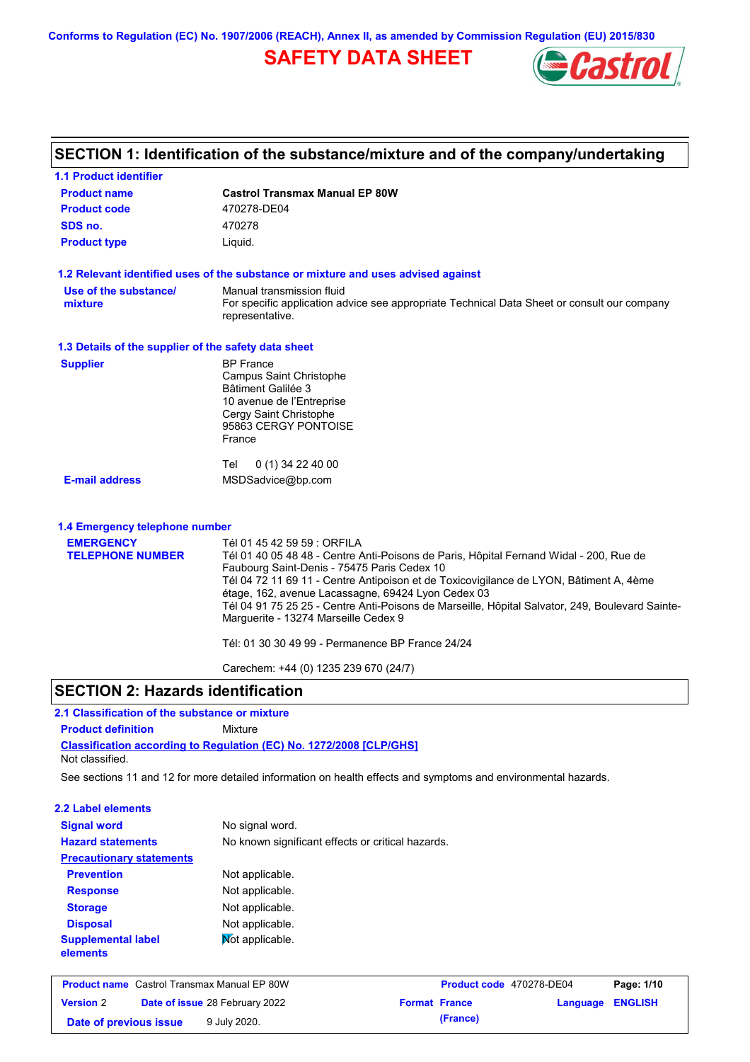**Conforms to Regulation (EC) No. 1907/2006 (REACH), Annex II, as amended by Commission Regulation (EU) 2015/830**

# **SAFETY DATA SHEET**



#### **Castrol Transmax Manual EP 80W Product name 1.1 Product identifier 1.3 Details of the supplier of the safety data sheet Product type Liquid. E-mail address** MSDSadvice@bp.com **1.2 Relevant identified uses of the substance or mixture and uses advised against SECTION 1: Identification of the substance/mixture and of the company/undertaking Product code 470278-DE04 1.4 Emergency telephone number EMERGENCY TELEPHONE NUMBER** Tél 01 45 42 59 59 : ORFILA Tél 01 40 05 48 48 - Centre Anti-Poisons de Paris, Hôpital Fernand Widal - 200, Rue de Faubourg Saint-Denis - 75475 Paris Cedex 10 Tél 04 72 11 69 11 - Centre Antipoison et de Toxicovigilance de LYON, Bâtiment A, 4ème étage, 162, avenue Lacassagne, 69424 Lyon Cedex 03 Tél 04 91 75 25 25 - Centre Anti-Poisons de Marseille, Hôpital Salvator, 249, Boulevard Sainte-Marguerite - 13274 Marseille Cedex 9 Tél: 01 30 30 49 99 - Permanence BP France 24/24 Carechem: +44 (0) 1235 239 670 (24/7) **Supplier** BP France Campus Saint Christophe Bâtiment Galilée 3 10 avenue de l'Entreprise Cergy Saint Christophe 95863 CERGY PONTOISE France Tel 0 (1) 34 22 40 00 **SDS no.** 470278 **Use of the substance/ mixture** Manual transmission fluid For specific application advice see appropriate Technical Data Sheet or consult our company representative.

### **SECTION 2: Hazards identification**

### **2.1 Classification of the substance or mixture**

**Product definition** Mixture

**Classification according to Regulation (EC) No. 1272/2008 [CLP/GHS]** Not classified.

See sections 11 and 12 for more detailed information on health effects and symptoms and environmental hazards.

#### **2.2 Label elements**

| <b>Signal word</b>                    | No signal word.                                   |
|---------------------------------------|---------------------------------------------------|
| <b>Hazard statements</b>              | No known significant effects or critical hazards. |
| <b>Precautionary statements</b>       |                                                   |
| <b>Prevention</b>                     | Not applicable.                                   |
| <b>Response</b>                       | Not applicable.                                   |
| <b>Storage</b>                        | Not applicable.                                   |
| <b>Disposal</b>                       | Not applicable.                                   |
| <b>Supplemental label</b><br>elements | Mot applicable.                                   |

| <b>Product name</b> Castrol Transmax Manual EP 80W |  | <b>Product code</b> 470278-DE04       |  | Page: 1/10           |                  |  |
|----------------------------------------------------|--|---------------------------------------|--|----------------------|------------------|--|
| <b>Version 2</b>                                   |  | <b>Date of issue 28 February 2022</b> |  | <b>Format France</b> | Language ENGLISH |  |
| Date of previous issue                             |  | 9 July 2020.                          |  | (France)             |                  |  |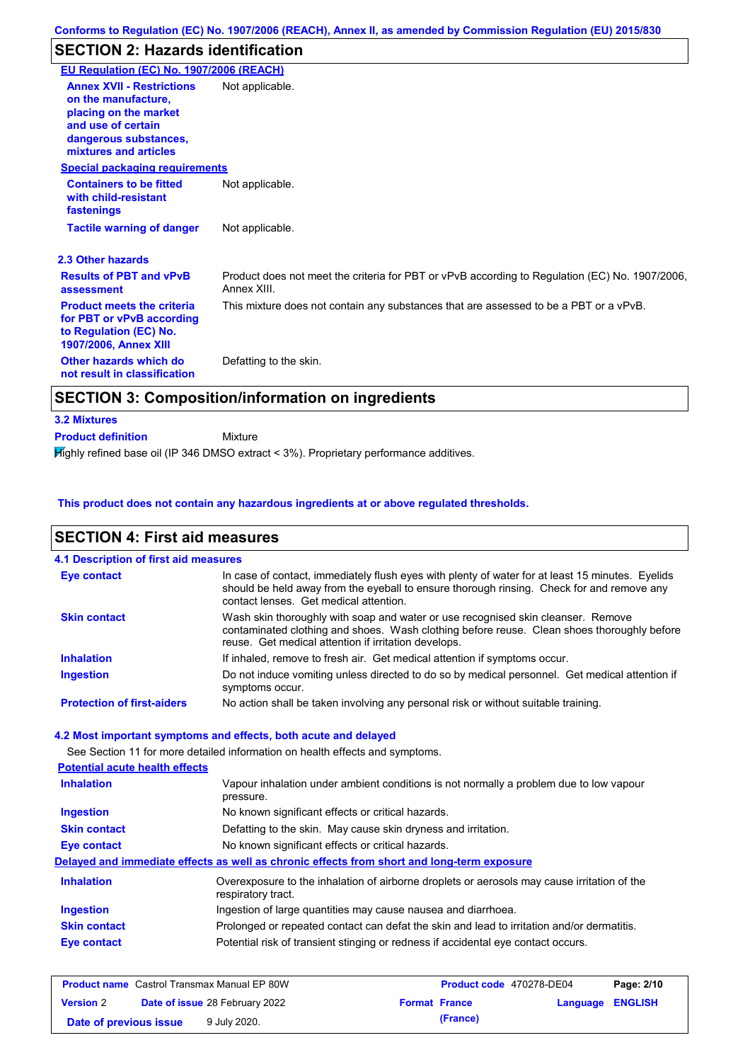# **SECTION 2: Hazards identification**

| EU Regulation (EC) No. 1907/2006 (REACH)                                                                                                                 |                                                                                                               |
|----------------------------------------------------------------------------------------------------------------------------------------------------------|---------------------------------------------------------------------------------------------------------------|
| <b>Annex XVII - Restrictions</b><br>on the manufacture.<br>placing on the market<br>and use of certain<br>dangerous substances,<br>mixtures and articles | Not applicable.                                                                                               |
| <b>Special packaging requirements</b>                                                                                                                    |                                                                                                               |
| <b>Containers to be fitted</b><br>with child-resistant<br>fastenings                                                                                     | Not applicable.                                                                                               |
| <b>Tactile warning of danger</b>                                                                                                                         | Not applicable.                                                                                               |
| 2.3 Other hazards                                                                                                                                        |                                                                                                               |
| <b>Results of PBT and vPvB</b><br>assessment                                                                                                             | Product does not meet the criteria for PBT or vPvB according to Regulation (EC) No. 1907/2006,<br>Annex XIII. |
| <b>Product meets the criteria</b><br>for PBT or vPvB according<br>to Regulation (EC) No.<br><b>1907/2006, Annex XIII</b>                                 | This mixture does not contain any substances that are assessed to be a PBT or a vPvB.                         |
| Other hazards which do<br>not result in classification                                                                                                   | Defatting to the skin.                                                                                        |

- **3.2 Mixtures**
- Mixture **Product definition**

Highly refined base oil (IP 346 DMSO extract < 3%). Proprietary performance additives.

#### **This product does not contain any hazardous ingredients at or above regulated thresholds.**

| <b>SECTION 4: First aid measures</b>  |                                                                                                                                                                                                                                         |
|---------------------------------------|-----------------------------------------------------------------------------------------------------------------------------------------------------------------------------------------------------------------------------------------|
| 4.1 Description of first aid measures |                                                                                                                                                                                                                                         |
| <b>Eye contact</b>                    | In case of contact, immediately flush eyes with plenty of water for at least 15 minutes. Eyelids<br>should be held away from the eyeball to ensure thorough rinsing. Check for and remove any<br>contact lenses. Get medical attention. |
| <b>Skin contact</b>                   | Wash skin thoroughly with soap and water or use recognised skin cleanser. Remove<br>contaminated clothing and shoes. Wash clothing before reuse. Clean shoes thoroughly before<br>reuse. Get medical attention if irritation develops.  |
| <b>Inhalation</b>                     | If inhaled, remove to fresh air. Get medical attention if symptoms occur.                                                                                                                                                               |
| <b>Ingestion</b>                      | Do not induce vomiting unless directed to do so by medical personnel. Get medical attention if<br>symptoms occur.                                                                                                                       |
| <b>Protection of first-aiders</b>     | No action shall be taken involving any personal risk or without suitable training.                                                                                                                                                      |
|                                       | 4.2 Most important symptoms and effects, both acute and delayed                                                                                                                                                                         |
|                                       | See Section 11 for more detailed information on health effects and symptoms.                                                                                                                                                            |
| <b>Potential acute health effects</b> |                                                                                                                                                                                                                                         |
| <b>Inhalation</b>                     | Vapour inhalation under ambient conditions is not normally a problem due to low vapour<br>pressure.                                                                                                                                     |
| <b>Ingestion</b>                      | No known significant effects or critical hazards.                                                                                                                                                                                       |
| <b>Skin contact</b>                   | Defatting to the skin. May cause skin dryness and irritation.                                                                                                                                                                           |
| <b>Eye contact</b>                    | No known significant effects or critical hazards.                                                                                                                                                                                       |
|                                       | Delayed and immediate effects as well as chronic effects from short and long-term exposure                                                                                                                                              |
| <b>Inhalation</b>                     | Overexposure to the inhalation of airborne droplets or aerosols may cause irritation of the<br>respiratory tract.                                                                                                                       |
| <b>Ingestion</b>                      | Ingestion of large quantities may cause nausea and diarrhoea.                                                                                                                                                                           |
| <b>Skin contact</b>                   | Prolonged or repeated contact can defat the skin and lead to irritation and/or dermatitis.                                                                                                                                              |
| <b>Eye contact</b>                    | Potential risk of transient stinging or redness if accidental eye contact occurs.                                                                                                                                                       |
|                                       |                                                                                                                                                                                                                                         |

| <b>Product name</b> Castrol Transmax Manual EP 80W |  | Product code 470278-DE04              |  | Page: 2/10           |                  |  |
|----------------------------------------------------|--|---------------------------------------|--|----------------------|------------------|--|
| <b>Version 2</b>                                   |  | <b>Date of issue 28 February 2022</b> |  | <b>Format France</b> | Language ENGLISH |  |
| Date of previous issue                             |  | 9 July 2020.                          |  | (France)             |                  |  |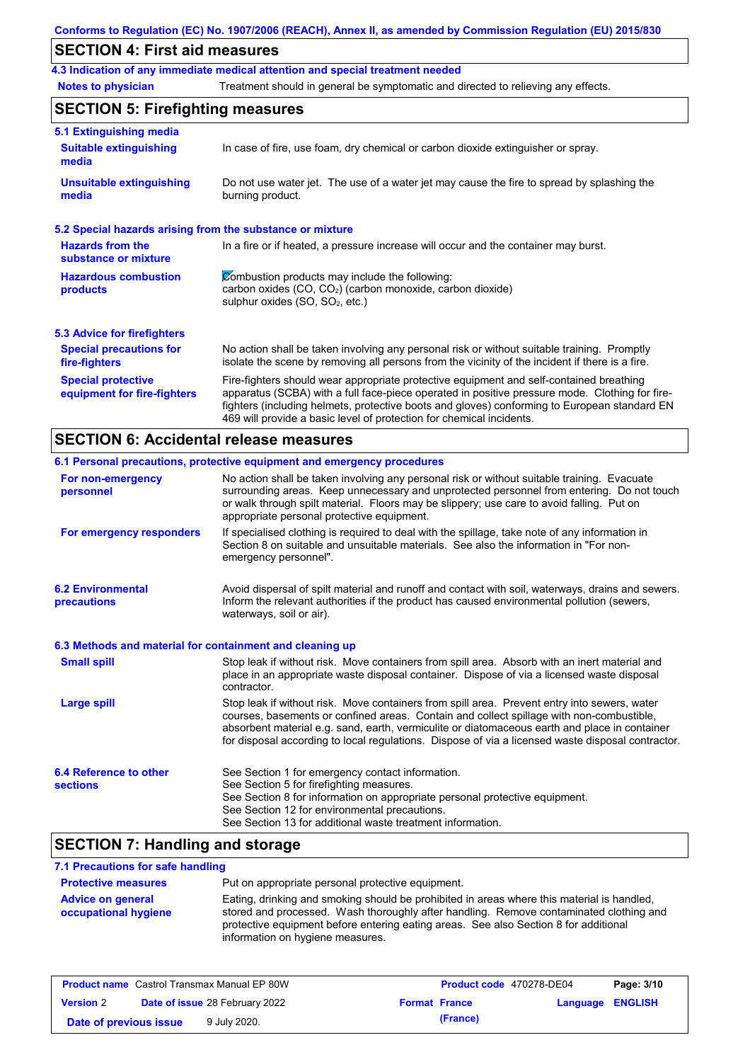### **SECTION 4: First aid measures**

**4.3 Indication of any immediate medical attention and special treatment needed**

**Notes to physician** Treatment should in general be symptomatic and directed to relieving any effects.

## **SECTION 5: Firefighting measures**

| 5.1 Extinguishing media                                   |                                                                                                                                                                                                                                                                                                                                                                   |
|-----------------------------------------------------------|-------------------------------------------------------------------------------------------------------------------------------------------------------------------------------------------------------------------------------------------------------------------------------------------------------------------------------------------------------------------|
| <b>Suitable extinguishing</b><br>media                    | In case of fire, use foam, dry chemical or carbon dioxide extinguisher or spray.                                                                                                                                                                                                                                                                                  |
| <b>Unsuitable extinguishing</b><br>media                  | Do not use water jet. The use of a water jet may cause the fire to spread by splashing the<br>burning product.                                                                                                                                                                                                                                                    |
| 5.2 Special hazards arising from the substance or mixture |                                                                                                                                                                                                                                                                                                                                                                   |
| <b>Hazards from the</b><br>substance or mixture           | In a fire or if heated, a pressure increase will occur and the container may burst.                                                                                                                                                                                                                                                                               |
| <b>Hazardous combustion</b><br>products                   | Combustion products may include the following:<br>carbon oxides $(CO, CO2)$ (carbon monoxide, carbon dioxide)<br>sulphur oxides (SO, SO <sub>2</sub> , etc.)                                                                                                                                                                                                      |
| <b>5.3 Advice for firefighters</b>                        |                                                                                                                                                                                                                                                                                                                                                                   |
| <b>Special precautions for</b><br>fire-fighters           | No action shall be taken involving any personal risk or without suitable training. Promptly<br>isolate the scene by removing all persons from the vicinity of the incident if there is a fire.                                                                                                                                                                    |
| <b>Special protective</b><br>equipment for fire-fighters  | Fire-fighters should wear appropriate protective equipment and self-contained breathing<br>apparatus (SCBA) with a full face-piece operated in positive pressure mode. Clothing for fire-<br>fighters (including helmets, protective boots and gloves) conforming to European standard EN<br>469 will provide a basic level of protection for chemical incidents. |

# **SECTION 6: Accidental release measures**

|                                                          | 6.1 Personal precautions, protective equipment and emergency procedures                                                                                                                                                                                                                                                                                                                        |
|----------------------------------------------------------|------------------------------------------------------------------------------------------------------------------------------------------------------------------------------------------------------------------------------------------------------------------------------------------------------------------------------------------------------------------------------------------------|
| For non-emergency<br>personnel                           | No action shall be taken involving any personal risk or without suitable training. Evacuate<br>surrounding areas. Keep unnecessary and unprotected personnel from entering. Do not touch<br>or walk through spilt material. Floors may be slippery; use care to avoid falling. Put on<br>appropriate personal protective equipment.                                                            |
| For emergency responders                                 | If specialised clothing is required to deal with the spillage, take note of any information in<br>Section 8 on suitable and unsuitable materials. See also the information in "For non-<br>emergency personnel".                                                                                                                                                                               |
| <b>6.2 Environmental</b><br>precautions                  | Avoid dispersal of spilt material and runoff and contact with soil, waterways, drains and sewers.<br>Inform the relevant authorities if the product has caused environmental pollution (sewers,<br>waterways, soil or air).                                                                                                                                                                    |
| 6.3 Methods and material for containment and cleaning up |                                                                                                                                                                                                                                                                                                                                                                                                |
| <b>Small spill</b>                                       | Stop leak if without risk. Move containers from spill area. Absorb with an inert material and<br>place in an appropriate waste disposal container. Dispose of via a licensed waste disposal<br>contractor.                                                                                                                                                                                     |
| <b>Large spill</b>                                       | Stop leak if without risk. Move containers from spill area. Prevent entry into sewers, water<br>courses, basements or confined areas. Contain and collect spillage with non-combustible,<br>absorbent material e.g. sand, earth, vermiculite or diatomaceous earth and place in container<br>for disposal according to local regulations. Dispose of via a licensed waste disposal contractor. |
| 6.4 Reference to other<br><b>sections</b>                | See Section 1 for emergency contact information.<br>See Section 5 for firefighting measures.<br>See Section 8 for information on appropriate personal protective equipment.<br>See Section 12 for environmental precautions.<br>See Section 13 for additional waste treatment information.                                                                                                     |
| $F^{\text{A}}$ . The state of $F$<br>.                   | .                                                                                                                                                                                                                                                                                                                                                                                              |

### **SECTION 7: Handling and storage**

### **7.1 Precautions for safe handling**

| <b>Protective measures</b>                       | Put on appropriate personal protective equipment.                                                                                                                                                                                                                            |
|--------------------------------------------------|------------------------------------------------------------------------------------------------------------------------------------------------------------------------------------------------------------------------------------------------------------------------------|
| <b>Advice on general</b><br>occupational hygiene | Eating, drinking and smoking should be prohibited in areas where this material is handled,<br>stored and processed. Wash thoroughly after handling. Remove contaminated clothing and<br>protective equipment before entering eating areas. See also Section 8 for additional |
|                                                  | information on hygiene measures.                                                                                                                                                                                                                                             |

| <b>Product name</b> Castrol Transmax Manual EP 80W |  | Product code 470278-DE04              |                      | Page: 3/10 |                         |
|----------------------------------------------------|--|---------------------------------------|----------------------|------------|-------------------------|
| <b>Version 2</b>                                   |  | <b>Date of issue 28 February 2022</b> | <b>Format France</b> |            | <b>Language ENGLISH</b> |
| Date of previous issue                             |  | 9 July 2020.                          | (France)             |            |                         |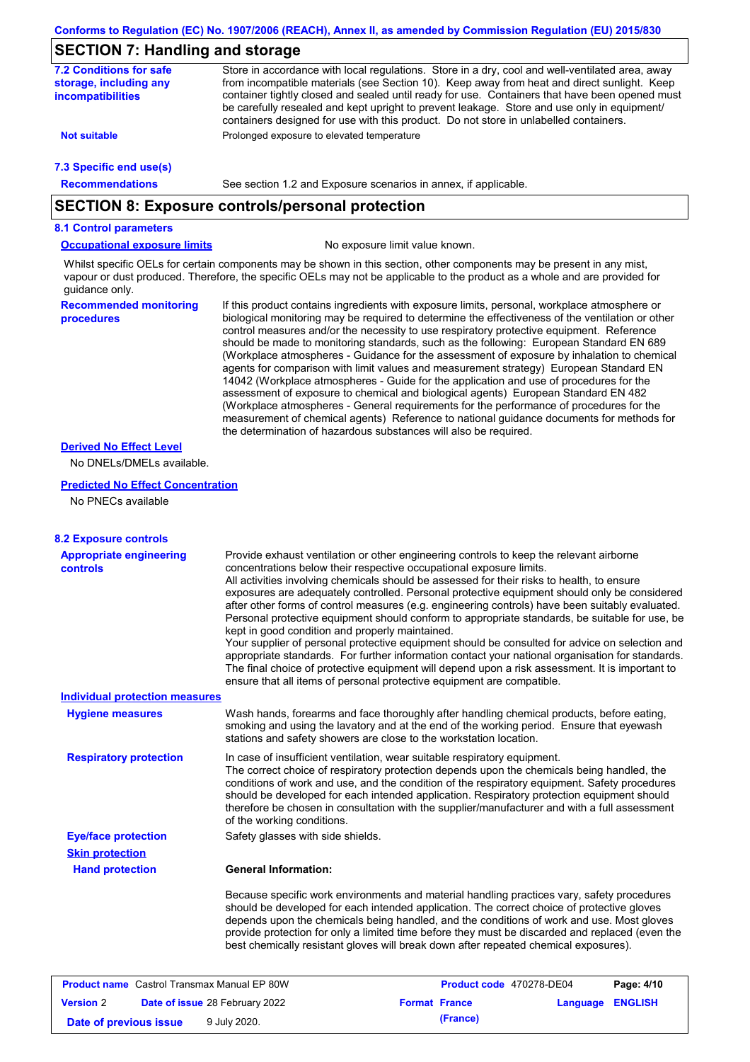### **SECTION 7: Handling and storage**

| <b>7.2 Conditions for safe</b><br>storage, including any<br><i>incompatibilities</i> | Store in accordance with local requiations. Store in a dry, cool and well-ventilated area, away<br>from incompatible materials (see Section 10). Keep away from heat and direct sunlight. Keep<br>container tightly closed and sealed until ready for use. Containers that have been opened must<br>be carefully resealed and kept upright to prevent leakage. Store and use only in equipment/<br>containers designed for use with this product. Do not store in unlabelled containers. |
|--------------------------------------------------------------------------------------|------------------------------------------------------------------------------------------------------------------------------------------------------------------------------------------------------------------------------------------------------------------------------------------------------------------------------------------------------------------------------------------------------------------------------------------------------------------------------------------|
| <b>Not suitable</b>                                                                  | Prolonged exposure to elevated temperature                                                                                                                                                                                                                                                                                                                                                                                                                                               |
| 7.3 Specific end use(s)                                                              |                                                                                                                                                                                                                                                                                                                                                                                                                                                                                          |
| <b>Recommendations</b>                                                               | See section 1.2 and Exposure scenarios in annex, if applicable.                                                                                                                                                                                                                                                                                                                                                                                                                          |

### **SECTION 8: Exposure controls/personal protection**

#### **8.1 Control parameters**

**Occupational exposure limits** No exposure limit value known.

Whilst specific OELs for certain components may be shown in this section, other components may be present in any mist, vapour or dust produced. Therefore, the specific OELs may not be applicable to the product as a whole and are provided for guidance only.

**Recommended monitoring procedures** If this product contains ingredients with exposure limits, personal, workplace atmosphere or biological monitoring may be required to determine the effectiveness of the ventilation or other control measures and/or the necessity to use respiratory protective equipment. Reference should be made to monitoring standards, such as the following: European Standard EN 689 (Workplace atmospheres - Guidance for the assessment of exposure by inhalation to chemical agents for comparison with limit values and measurement strategy) European Standard EN 14042 (Workplace atmospheres - Guide for the application and use of procedures for the assessment of exposure to chemical and biological agents) European Standard EN 482 (Workplace atmospheres - General requirements for the performance of procedures for the measurement of chemical agents) Reference to national guidance documents for methods for the determination of hazardous substances will also be required.

#### **Derived No Effect Level**

No DNELs/DMELs available.

#### **Predicted No Effect Concentration**

No PNECs available

| <b>8.2 Exposure controls</b>                       |                                                                                                                                                                                                                                                                                                                                                                                                                                                                                                                                                                                                                                                                                                                                                                                                                                                                                                                                                                                                         |  |  |  |
|----------------------------------------------------|---------------------------------------------------------------------------------------------------------------------------------------------------------------------------------------------------------------------------------------------------------------------------------------------------------------------------------------------------------------------------------------------------------------------------------------------------------------------------------------------------------------------------------------------------------------------------------------------------------------------------------------------------------------------------------------------------------------------------------------------------------------------------------------------------------------------------------------------------------------------------------------------------------------------------------------------------------------------------------------------------------|--|--|--|
| <b>Appropriate engineering</b><br><b>controls</b>  | Provide exhaust ventilation or other engineering controls to keep the relevant airborne<br>concentrations below their respective occupational exposure limits.<br>All activities involving chemicals should be assessed for their risks to health, to ensure<br>exposures are adequately controlled. Personal protective equipment should only be considered<br>after other forms of control measures (e.g. engineering controls) have been suitably evaluated.<br>Personal protective equipment should conform to appropriate standards, be suitable for use, be<br>kept in good condition and properly maintained.<br>Your supplier of personal protective equipment should be consulted for advice on selection and<br>appropriate standards. For further information contact your national organisation for standards.<br>The final choice of protective equipment will depend upon a risk assessment. It is important to<br>ensure that all items of personal protective equipment are compatible. |  |  |  |
| <b>Individual protection measures</b>              |                                                                                                                                                                                                                                                                                                                                                                                                                                                                                                                                                                                                                                                                                                                                                                                                                                                                                                                                                                                                         |  |  |  |
| <b>Hygiene measures</b>                            | Wash hands, forearms and face thoroughly after handling chemical products, before eating,<br>smoking and using the lavatory and at the end of the working period. Ensure that eyewash<br>stations and safety showers are close to the workstation location.                                                                                                                                                                                                                                                                                                                                                                                                                                                                                                                                                                                                                                                                                                                                             |  |  |  |
| <b>Respiratory protection</b>                      | In case of insufficient ventilation, wear suitable respiratory equipment.<br>The correct choice of respiratory protection depends upon the chemicals being handled, the<br>conditions of work and use, and the condition of the respiratory equipment. Safety procedures<br>should be developed for each intended application. Respiratory protection equipment should<br>therefore be chosen in consultation with the supplier/manufacturer and with a full assessment<br>of the working conditions.                                                                                                                                                                                                                                                                                                                                                                                                                                                                                                   |  |  |  |
| <b>Eye/face protection</b>                         | Safety glasses with side shields.                                                                                                                                                                                                                                                                                                                                                                                                                                                                                                                                                                                                                                                                                                                                                                                                                                                                                                                                                                       |  |  |  |
| <b>Skin protection</b>                             |                                                                                                                                                                                                                                                                                                                                                                                                                                                                                                                                                                                                                                                                                                                                                                                                                                                                                                                                                                                                         |  |  |  |
| <b>Hand protection</b>                             | <b>General Information:</b>                                                                                                                                                                                                                                                                                                                                                                                                                                                                                                                                                                                                                                                                                                                                                                                                                                                                                                                                                                             |  |  |  |
|                                                    | Because specific work environments and material handling practices vary, safety procedures<br>should be developed for each intended application. The correct choice of protective gloves<br>depends upon the chemicals being handled, and the conditions of work and use. Most gloves<br>provide protection for only a limited time before they must be discarded and replaced (even the<br>best chemically resistant gloves will break down after repeated chemical exposures).                                                                                                                                                                                                                                                                                                                                                                                                                                                                                                                        |  |  |  |
| <b>Product name</b> Castrol Transmax Manual EP 80W | Product code 470278-DE04<br>Page: 4/10                                                                                                                                                                                                                                                                                                                                                                                                                                                                                                                                                                                                                                                                                                                                                                                                                                                                                                                                                                  |  |  |  |
| <b>Version</b> 2                                   | Date of issue 28 February 2022<br><b>ENGLISH</b><br><b>Format France</b><br>Language                                                                                                                                                                                                                                                                                                                                                                                                                                                                                                                                                                                                                                                                                                                                                                                                                                                                                                                    |  |  |  |

**Date of previous issue 9 July 2020. (France) (France)**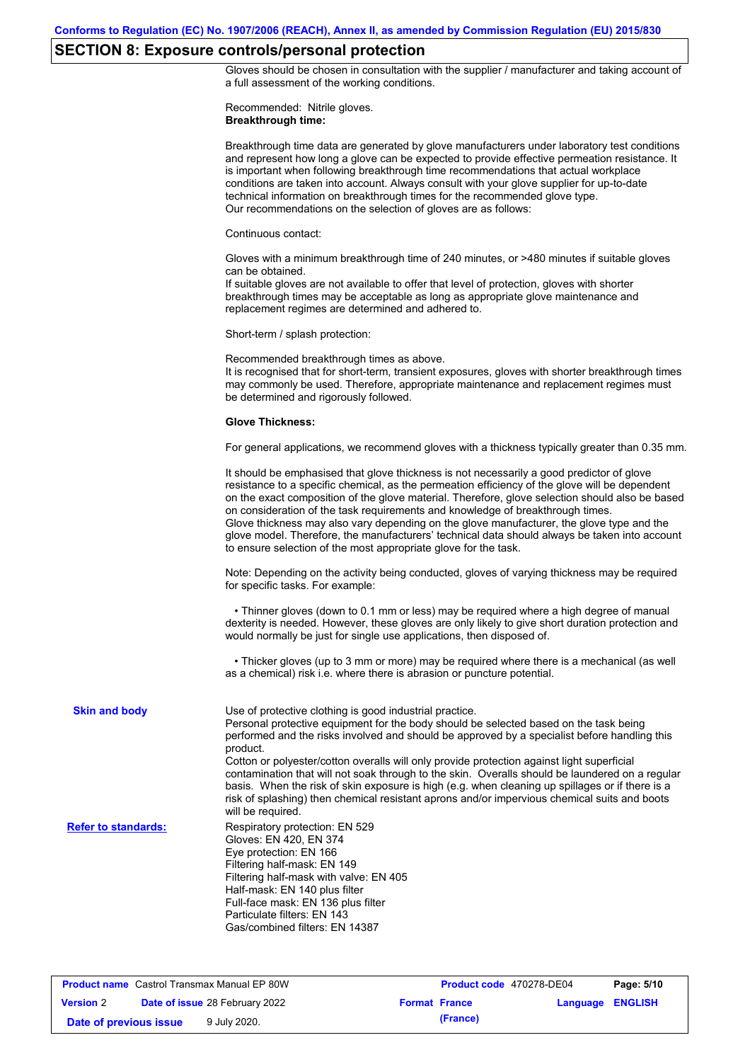### **SECTION 8: Exposure controls/personal protection**

Gloves should be chosen in consultation with the supplier / manufacturer and taking account of a full assessment of the working conditions.

Recommended: Nitrile gloves. **Breakthrough time:**

|                            | Breakthrough time data are generated by glove manufacturers under laboratory test conditions<br>and represent how long a glove can be expected to provide effective permeation resistance. It<br>is important when following breakthrough time recommendations that actual workplace<br>conditions are taken into account. Always consult with your glove supplier for up-to-date<br>technical information on breakthrough times for the recommended glove type.<br>Our recommendations on the selection of gloves are as follows:                                                                                                                                                    |
|----------------------------|---------------------------------------------------------------------------------------------------------------------------------------------------------------------------------------------------------------------------------------------------------------------------------------------------------------------------------------------------------------------------------------------------------------------------------------------------------------------------------------------------------------------------------------------------------------------------------------------------------------------------------------------------------------------------------------|
|                            | Continuous contact:                                                                                                                                                                                                                                                                                                                                                                                                                                                                                                                                                                                                                                                                   |
|                            | Gloves with a minimum breakthrough time of 240 minutes, or >480 minutes if suitable gloves<br>can be obtained.<br>If suitable gloves are not available to offer that level of protection, gloves with shorter<br>breakthrough times may be acceptable as long as appropriate glove maintenance and<br>replacement regimes are determined and adhered to.                                                                                                                                                                                                                                                                                                                              |
|                            | Short-term / splash protection:                                                                                                                                                                                                                                                                                                                                                                                                                                                                                                                                                                                                                                                       |
|                            | Recommended breakthrough times as above.<br>It is recognised that for short-term, transient exposures, gloves with shorter breakthrough times<br>may commonly be used. Therefore, appropriate maintenance and replacement regimes must<br>be determined and rigorously followed.                                                                                                                                                                                                                                                                                                                                                                                                      |
|                            | <b>Glove Thickness:</b>                                                                                                                                                                                                                                                                                                                                                                                                                                                                                                                                                                                                                                                               |
|                            | For general applications, we recommend gloves with a thickness typically greater than 0.35 mm.                                                                                                                                                                                                                                                                                                                                                                                                                                                                                                                                                                                        |
|                            | It should be emphasised that glove thickness is not necessarily a good predictor of glove<br>resistance to a specific chemical, as the permeation efficiency of the glove will be dependent<br>on the exact composition of the glove material. Therefore, glove selection should also be based<br>on consideration of the task requirements and knowledge of breakthrough times.<br>Glove thickness may also vary depending on the glove manufacturer, the glove type and the<br>glove model. Therefore, the manufacturers' technical data should always be taken into account<br>to ensure selection of the most appropriate glove for the task.                                     |
|                            | Note: Depending on the activity being conducted, gloves of varying thickness may be required<br>for specific tasks. For example:                                                                                                                                                                                                                                                                                                                                                                                                                                                                                                                                                      |
|                            | • Thinner gloves (down to 0.1 mm or less) may be required where a high degree of manual<br>dexterity is needed. However, these gloves are only likely to give short duration protection and<br>would normally be just for single use applications, then disposed of.                                                                                                                                                                                                                                                                                                                                                                                                                  |
|                            | • Thicker gloves (up to 3 mm or more) may be required where there is a mechanical (as well<br>as a chemical) risk i.e. where there is abrasion or puncture potential.                                                                                                                                                                                                                                                                                                                                                                                                                                                                                                                 |
| <b>Skin and body</b>       | Use of protective clothing is good industrial practice.<br>Personal protective equipment for the body should be selected based on the task being<br>performed and the risks involved and should be approved by a specialist before handling this<br>product.<br>Cotton or polyester/cotton overalls will only provide protection against light superficial<br>contamination that will not soak through to the skin. Overalls should be laundered on a regular<br>basis. When the risk of skin exposure is high (e.g. when cleaning up spillages or if there is a<br>risk of splashing) then chemical resistant aprons and/or impervious chemical suits and boots<br>will be required. |
| <b>Refer to standards:</b> | Respiratory protection: EN 529<br>Gloves: EN 420, EN 374<br>Eye protection: EN 166<br>Filtering half-mask: EN 149<br>Filtering half-mask with valve: EN 405<br>Half-mask: EN 140 plus filter<br>Full-face mask: EN 136 plus filter<br>Particulate filters: EN 143<br>Gas/combined filters: EN 14387                                                                                                                                                                                                                                                                                                                                                                                   |
|                            |                                                                                                                                                                                                                                                                                                                                                                                                                                                                                                                                                                                                                                                                                       |

**Product name** Castrol Transmax Manual EP 80W **Product code** 470278-DE04 **Page: 5/10 Version** 2 **Date of issue** 28 February 2022 **Format France Language ENGLISH Date of previous issue** 9 July 2020.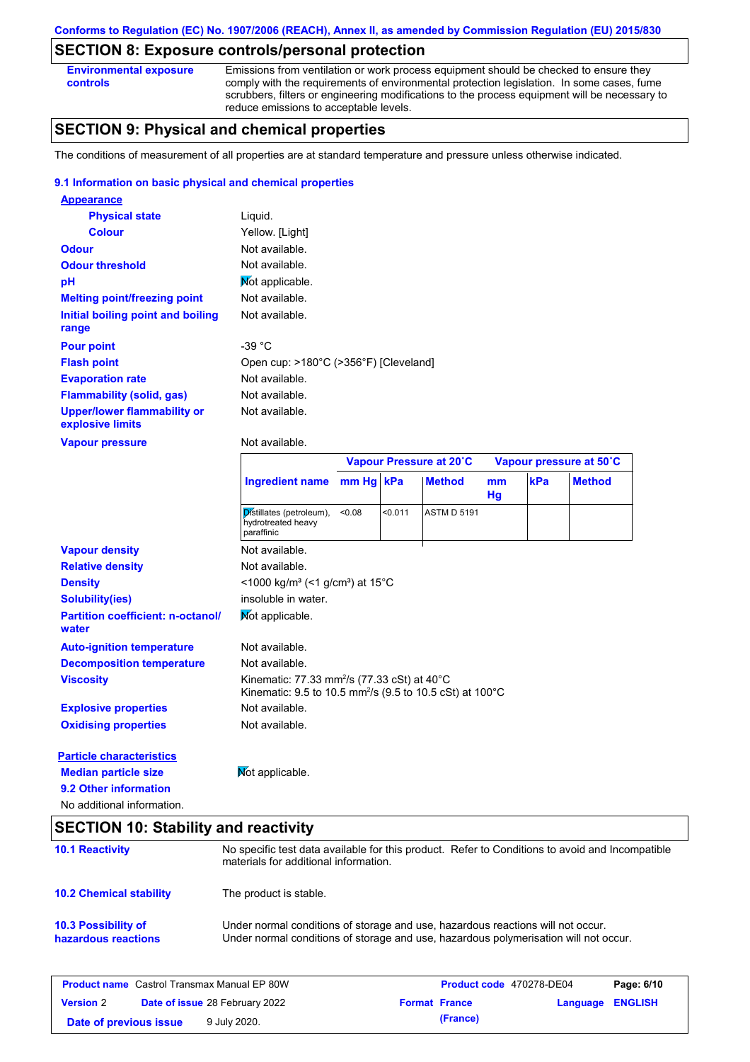### **SECTION 8: Exposure controls/personal protection**

**Environmental exposure controls**

Emissions from ventilation or work process equipment should be checked to ensure they comply with the requirements of environmental protection legislation. In some cases, fume scrubbers, filters or engineering modifications to the process equipment will be necessary to reduce emissions to acceptable levels.

### **SECTION 9: Physical and chemical properties**

The conditions of measurement of all properties are at standard temperature and pressure unless otherwise indicated.

#### **9.1 Information on basic physical and chemical properties**

| <b>Appearance</b>                                      |                                                                                                                                           |           |         |                         |          |     |                         |
|--------------------------------------------------------|-------------------------------------------------------------------------------------------------------------------------------------------|-----------|---------|-------------------------|----------|-----|-------------------------|
| <b>Physical state</b>                                  | Liquid.                                                                                                                                   |           |         |                         |          |     |                         |
| <b>Colour</b>                                          | Yellow. [Light]                                                                                                                           |           |         |                         |          |     |                         |
| <b>Odour</b>                                           | Not available.                                                                                                                            |           |         |                         |          |     |                         |
| <b>Odour threshold</b>                                 | Not available.                                                                                                                            |           |         |                         |          |     |                         |
| pH                                                     | Mot applicable.                                                                                                                           |           |         |                         |          |     |                         |
| <b>Melting point/freezing point</b>                    | Not available.                                                                                                                            |           |         |                         |          |     |                         |
| Initial boiling point and boiling<br>range             | Not available.                                                                                                                            |           |         |                         |          |     |                         |
| <b>Pour point</b>                                      | $-39 °C$                                                                                                                                  |           |         |                         |          |     |                         |
| <b>Flash point</b>                                     | Open cup: >180°C (>356°F) [Cleveland]                                                                                                     |           |         |                         |          |     |                         |
| <b>Evaporation rate</b>                                | Not available.                                                                                                                            |           |         |                         |          |     |                         |
| <b>Flammability (solid, gas)</b>                       | Not available.                                                                                                                            |           |         |                         |          |     |                         |
| <b>Upper/lower flammability or</b><br>explosive limits | Not available.                                                                                                                            |           |         |                         |          |     |                         |
| <b>Vapour pressure</b>                                 | Not available.                                                                                                                            |           |         |                         |          |     |                         |
|                                                        |                                                                                                                                           |           |         | Vapour Pressure at 20°C |          |     | Vapour pressure at 50°C |
|                                                        | <b>Ingredient name</b>                                                                                                                    | mm Hg kPa |         | <b>Method</b>           | mm<br>Hg | kPa | <b>Method</b>           |
|                                                        | Distillates (petroleum),<br>hydrotreated heavy<br>paraffinic                                                                              | < 0.08    | < 0.011 | <b>ASTM D 5191</b>      |          |     |                         |
| <b>Vapour density</b>                                  | Not available.                                                                                                                            |           |         |                         |          |     |                         |
| <b>Relative density</b>                                | Not available.                                                                                                                            |           |         |                         |          |     |                         |
| <b>Density</b>                                         | <1000 kg/m <sup>3</sup> (<1 g/cm <sup>3</sup> ) at 15°C                                                                                   |           |         |                         |          |     |                         |
| <b>Solubility(ies)</b>                                 | insoluble in water.                                                                                                                       |           |         |                         |          |     |                         |
| <b>Partition coefficient: n-octanol/</b><br>water      | Mot applicable.                                                                                                                           |           |         |                         |          |     |                         |
| <b>Auto-ignition temperature</b>                       | Not available.                                                                                                                            |           |         |                         |          |     |                         |
| <b>Decomposition temperature</b>                       | Not available.                                                                                                                            |           |         |                         |          |     |                         |
| <b>Viscosity</b>                                       | Kinematic: 77.33 mm <sup>2</sup> /s (77.33 cSt) at 40 $\degree$ C<br>Kinematic: 9.5 to 10.5 mm <sup>2</sup> /s (9.5 to 10.5 cSt) at 100°C |           |         |                         |          |     |                         |
| <b>Explosive properties</b>                            | Not available.                                                                                                                            |           |         |                         |          |     |                         |
| <b>Oxidising properties</b>                            | Not available.                                                                                                                            |           |         |                         |          |     |                         |
|                                                        |                                                                                                                                           |           |         |                         |          |     |                         |
| <b>Particle characteristics</b>                        |                                                                                                                                           |           |         |                         |          |     |                         |
| <b>Median particle size</b>                            |                                                                                                                                           |           |         |                         |          |     |                         |
|                                                        | Not applicable.                                                                                                                           |           |         |                         |          |     |                         |
| 9.2 Other information                                  |                                                                                                                                           |           |         |                         |          |     |                         |

### **SECTION 10: Stability and reactivity**

| <b>10.1 Reactivity</b>                            | No specific test data available for this product. Refer to Conditions to avoid and Incompatible<br>materials for additional information.                                |
|---------------------------------------------------|-------------------------------------------------------------------------------------------------------------------------------------------------------------------------|
| <b>10.2 Chemical stability</b>                    | The product is stable.                                                                                                                                                  |
| <b>10.3 Possibility of</b><br>hazardous reactions | Under normal conditions of storage and use, hazardous reactions will not occur.<br>Under normal conditions of storage and use, hazardous polymerisation will not occur. |

| <b>Product name</b> Castrol Transmax Manual EP 80W |  | <b>Product code</b> 470278-DE04       |                      | Page: 6/10              |  |
|----------------------------------------------------|--|---------------------------------------|----------------------|-------------------------|--|
| <b>Version 2</b>                                   |  | <b>Date of issue 28 February 2022</b> | <b>Format France</b> | <b>Language ENGLISH</b> |  |
| Date of previous issue                             |  | 9 July 2020.                          | (France)             |                         |  |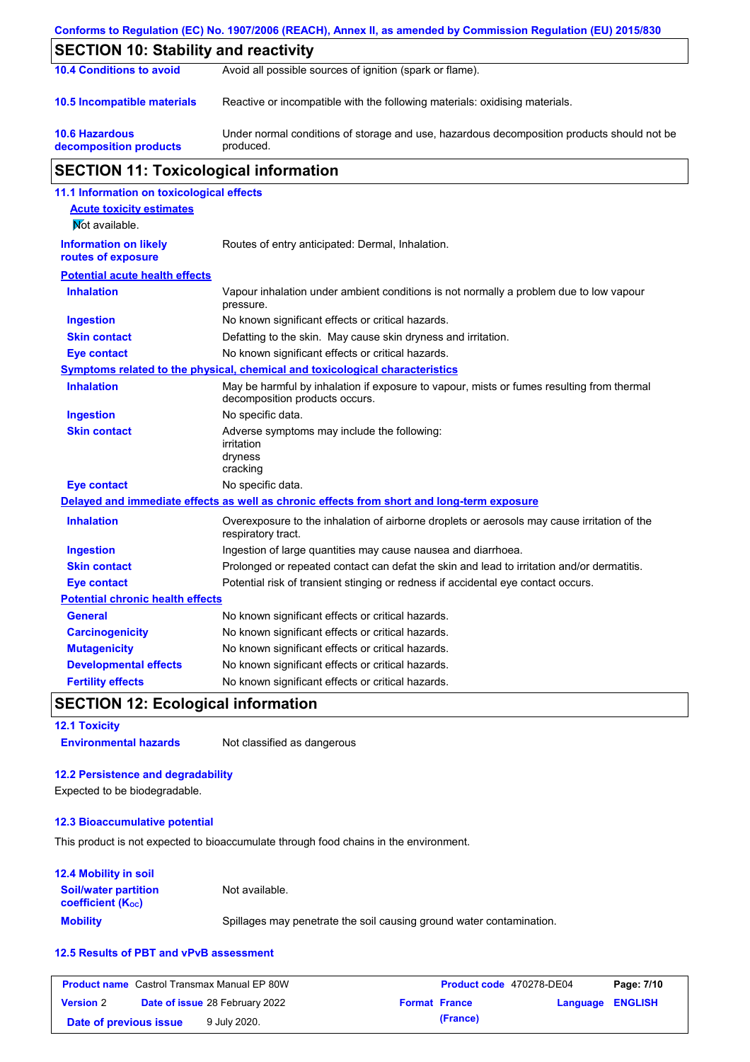|                                                    | Conforms to Regulation (EC) No. 1907/2006 (REACH), Annex II, as amended by Commission Regulation (EU) 2015/830              |  |  |
|----------------------------------------------------|-----------------------------------------------------------------------------------------------------------------------------|--|--|
| <b>SECTION 10: Stability and reactivity</b>        |                                                                                                                             |  |  |
| <b>10.4 Conditions to avoid</b>                    | Avoid all possible sources of ignition (spark or flame).                                                                    |  |  |
| 10.5 Incompatible materials                        | Reactive or incompatible with the following materials: oxidising materials.                                                 |  |  |
| <b>10.6 Hazardous</b><br>decomposition products    | Under normal conditions of storage and use, hazardous decomposition products should not be<br>produced.                     |  |  |
| <b>SECTION 11: Toxicological information</b>       |                                                                                                                             |  |  |
| 11.1 Information on toxicological effects          |                                                                                                                             |  |  |
| <b>Acute toxicity estimates</b><br>Not available.  |                                                                                                                             |  |  |
| <b>Information on likely</b><br>routes of exposure | Routes of entry anticipated: Dermal, Inhalation.                                                                            |  |  |
| <b>Potential acute health effects</b>              |                                                                                                                             |  |  |
| <b>Inhalation</b>                                  | Vapour inhalation under ambient conditions is not normally a problem due to low vapour<br>pressure.                         |  |  |
| <b>Ingestion</b>                                   | No known significant effects or critical hazards.                                                                           |  |  |
| <b>Skin contact</b>                                | Defatting to the skin. May cause skin dryness and irritation.                                                               |  |  |
| <b>Eye contact</b>                                 | No known significant effects or critical hazards.                                                                           |  |  |
|                                                    | Symptoms related to the physical, chemical and toxicological characteristics                                                |  |  |
| <b>Inhalation</b>                                  | May be harmful by inhalation if exposure to vapour, mists or fumes resulting from thermal<br>decomposition products occurs. |  |  |
| <b>Ingestion</b>                                   | No specific data.                                                                                                           |  |  |
| <b>Skin contact</b>                                | Adverse symptoms may include the following:<br>irritation<br>dryness<br>cracking                                            |  |  |
| <b>Eye contact</b>                                 | No specific data.                                                                                                           |  |  |
|                                                    | Delayed and immediate effects as well as chronic effects from short and long-term exposure                                  |  |  |
| <b>Inhalation</b>                                  | Overexposure to the inhalation of airborne droplets or aerosols may cause irritation of the<br>respiratory tract.           |  |  |
| <b>Ingestion</b>                                   | Ingestion of large quantities may cause nausea and diarrhoea.                                                               |  |  |
| <b>Skin contact</b>                                | Prolonged or repeated contact can defat the skin and lead to irritation and/or dermatitis.                                  |  |  |
| <b>Eye contact</b>                                 | Potential risk of transient stinging or redness if accidental eye contact occurs.                                           |  |  |
| <b>Potential chronic health effects</b>            |                                                                                                                             |  |  |
| <b>General</b>                                     | No known significant effects or critical hazards.                                                                           |  |  |
| <b>Carcinogenicity</b>                             | No known significant effects or critical hazards.                                                                           |  |  |
| <b>Mutagenicity</b>                                | No known significant effects or critical hazards.                                                                           |  |  |
| <b>Developmental effects</b>                       | No known significant effects or critical hazards.                                                                           |  |  |
| <b>Fertility effects</b>                           | No known significant effects or critical hazards.                                                                           |  |  |

## **SECTION 12: Ecological information**

**12.1 Toxicity Environmental hazards** Not classified as dangerous

#### **12.2 Persistence and degradability**

Expected to be biodegradable.

### **12.3 Bioaccumulative potential**

This product is not expected to bioaccumulate through food chains in the environment.

#### **Mobility** Spillages may penetrate the soil causing ground water contamination. **12.4 Mobility in soil Soil/water partition coefficient (KOC)** Not available.

#### **12.5 Results of PBT and vPvB assessment**

|                        | <b>Product name</b> Castrol Transmax Manual EP 80W | Product code 470278-DE04 |                         | Page: 7/10 |
|------------------------|----------------------------------------------------|--------------------------|-------------------------|------------|
| <b>Version 2</b>       | <b>Date of issue 28 February 2022</b>              | <b>Format France</b>     | <b>Language ENGLISH</b> |            |
| Date of previous issue | 9 July 2020.                                       | (France)                 |                         |            |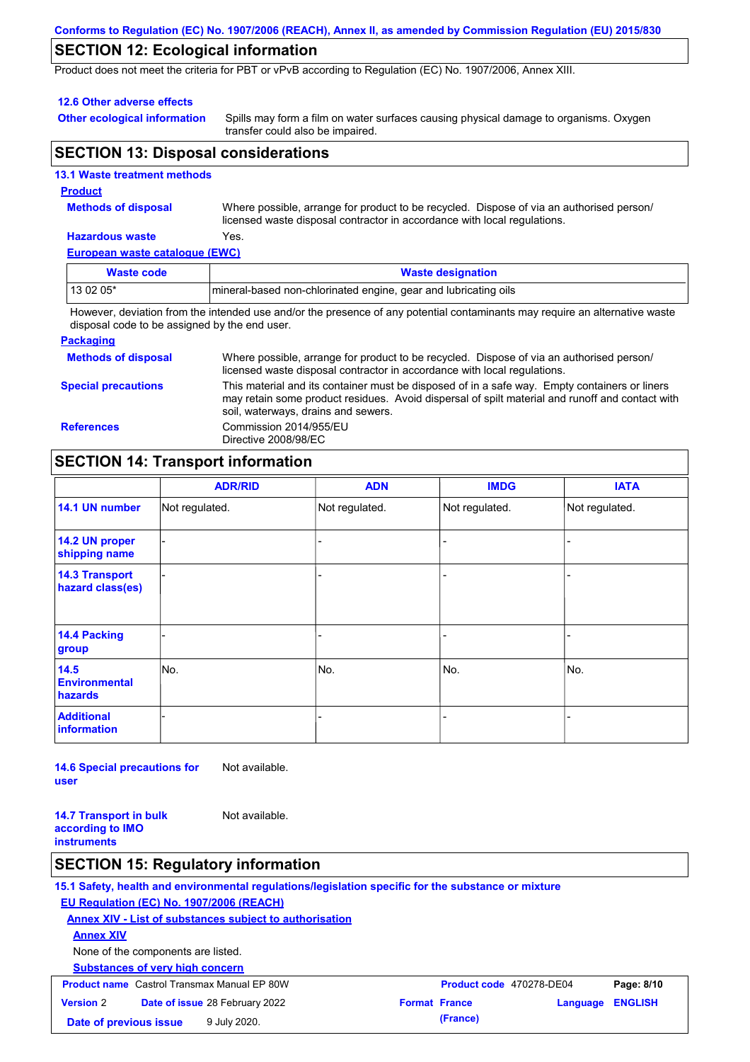#### **Conforms to Regulation (EC) No. 1907/2006 (REACH), Annex II, as amended by Commission Regulation (EU) 2015/830**

### **SECTION 12: Ecological information**

Product does not meet the criteria for PBT or vPvB according to Regulation (EC) No. 1907/2006, Annex XIII.

#### **12.6 Other adverse effects**

**Other ecological information**

Spills may form a film on water surfaces causing physical damage to organisms. Oxygen transfer could also be impaired.

### **SECTION 13: Disposal considerations**

|  | <b>13.1 Waste treatment methods</b> |  |
|--|-------------------------------------|--|
|  |                                     |  |
|  |                                     |  |
|  |                                     |  |

#### **Product**

**Methods of disposal**

Where possible, arrange for product to be recycled. Dispose of via an authorised person/ licensed waste disposal contractor in accordance with local regulations.

#### **Hazardous waste** Yes.

**European waste catalogue (EWC)**

| Waste code                                                                                                                  | <b>Waste designation</b>                                         |  |
|-----------------------------------------------------------------------------------------------------------------------------|------------------------------------------------------------------|--|
| $130205*$                                                                                                                   | Imineral-based non-chlorinated engine, gear and lubricating oils |  |
| However, deviation from the intended use and/or the presence of any petertial conteminante may require an elternative waste |                                                                  |  |

However, deviation from the intended use and/or the presence of any potential contaminants may require an alternative waste disposal code to be assigned by the end user.

#### **Packaging**

| <b>Methods of disposal</b> | Where possible, arrange for product to be recycled. Dispose of via an authorised person/<br>licensed waste disposal contractor in accordance with local regulations.                                                                    |
|----------------------------|-----------------------------------------------------------------------------------------------------------------------------------------------------------------------------------------------------------------------------------------|
| <b>Special precautions</b> | This material and its container must be disposed of in a safe way. Empty containers or liners<br>may retain some product residues. Avoid dispersal of spilt material and runoff and contact with<br>soil, waterways, drains and sewers. |
| <b>References</b>          | Commission 2014/955/EU<br>Directive 2008/98/EC                                                                                                                                                                                          |

### **SECTION 14: Transport information**

|                                           | <b>ADR/RID</b> | <b>ADN</b>     | <b>IMDG</b>    | <b>IATA</b>    |
|-------------------------------------------|----------------|----------------|----------------|----------------|
| 14.1 UN number                            | Not regulated. | Not regulated. | Not regulated. | Not regulated. |
| 14.2 UN proper<br>shipping name           |                |                |                |                |
| <b>14.3 Transport</b><br>hazard class(es) |                |                | $\overline{a}$ |                |
| 14.4 Packing<br>group                     |                |                | -              |                |
| 14.5<br><b>Environmental</b><br>hazards   | No.            | No.            | No.            | No.            |
| <b>Additional</b><br>information          |                |                | -              |                |

**14.6 Special precautions for user** Not available.

**14.7 Transport in bulk according to IMO instruments** Not available.

#### **SECTION 15: Regulatory information**

**15.1 Safety, health and environmental regulations/legislation specific for the substance or mixture**

#### **EU Regulation (EC) No. 1907/2006 (REACH)**

**Annex XIV - List of substances subject to authorisation**

**Annex XIV**

None of the components are listed.

|                        | <b>Substances of very high concern</b>             |                          |                         |
|------------------------|----------------------------------------------------|--------------------------|-------------------------|
|                        | <b>Product name</b> Castrol Transmax Manual EP 80W | Product code 470278-DE04 | Page: 8/10              |
| <b>Version 2</b>       | <b>Date of issue 28 February 2022</b>              | <b>Format France</b>     | <b>Language ENGLISH</b> |
| Date of previous issue | 9 July 2020.                                       | (France)                 |                         |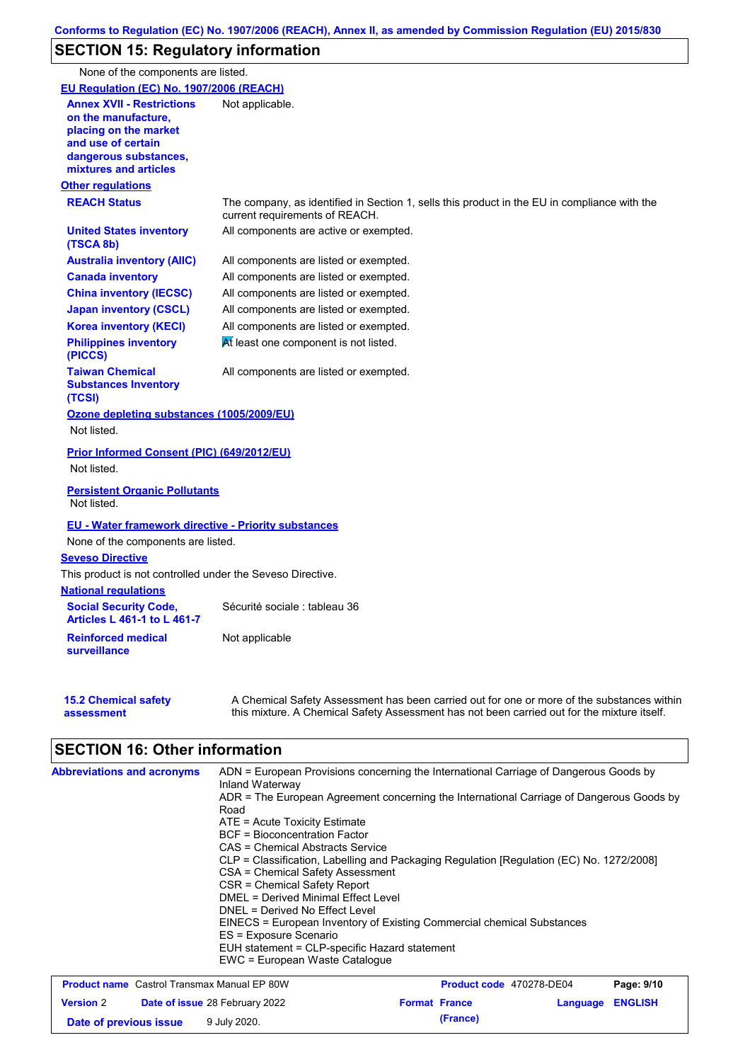# **SECTION 15: Regulatory information**

None of the components are listed.

| <b>EU Regulation (EC) No. 1907/2006 (REACH)</b>                                                                                                          |                                                                                                                                                                                           |
|----------------------------------------------------------------------------------------------------------------------------------------------------------|-------------------------------------------------------------------------------------------------------------------------------------------------------------------------------------------|
| <b>Annex XVII - Restrictions</b><br>on the manufacture,<br>placing on the market<br>and use of certain<br>dangerous substances,<br>mixtures and articles | Not applicable.                                                                                                                                                                           |
| <b>Other regulations</b>                                                                                                                                 |                                                                                                                                                                                           |
| <b>REACH Status</b>                                                                                                                                      | The company, as identified in Section 1, sells this product in the EU in compliance with the<br>current requirements of REACH.                                                            |
| <b>United States inventory</b><br>(TSCA 8b)                                                                                                              | All components are active or exempted.                                                                                                                                                    |
| <b>Australia inventory (AIIC)</b>                                                                                                                        | All components are listed or exempted.                                                                                                                                                    |
| <b>Canada inventory</b>                                                                                                                                  | All components are listed or exempted.                                                                                                                                                    |
| <b>China inventory (IECSC)</b>                                                                                                                           | All components are listed or exempted.                                                                                                                                                    |
| <b>Japan inventory (CSCL)</b>                                                                                                                            | All components are listed or exempted.                                                                                                                                                    |
| <b>Korea inventory (KECI)</b>                                                                                                                            | All components are listed or exempted.                                                                                                                                                    |
| <b>Philippines inventory</b><br>(PICCS)                                                                                                                  | At least one component is not listed.                                                                                                                                                     |
| <b>Taiwan Chemical</b><br><b>Substances Inventory</b><br>(TCSI)                                                                                          | All components are listed or exempted.                                                                                                                                                    |
| <b>Ozone depleting substances (1005/2009/EU)</b>                                                                                                         |                                                                                                                                                                                           |
| Not listed.                                                                                                                                              |                                                                                                                                                                                           |
| <b>Prior Informed Consent (PIC) (649/2012/EU)</b>                                                                                                        |                                                                                                                                                                                           |
| Not listed.                                                                                                                                              |                                                                                                                                                                                           |
| <b>Persistent Organic Pollutants</b><br>Not listed.                                                                                                      |                                                                                                                                                                                           |
| <b>EU - Water framework directive - Priority substances</b>                                                                                              |                                                                                                                                                                                           |
| None of the components are listed.                                                                                                                       |                                                                                                                                                                                           |
| <b>Seveso Directive</b>                                                                                                                                  |                                                                                                                                                                                           |
| This product is not controlled under the Seveso Directive.                                                                                               |                                                                                                                                                                                           |
| <b>National regulations</b>                                                                                                                              |                                                                                                                                                                                           |
| <b>Social Security Code,</b><br><b>Articles L 461-1 to L 461-7</b>                                                                                       | Sécurité sociale : tableau 36                                                                                                                                                             |
| <b>Reinforced medical</b><br>surveillance                                                                                                                | Not applicable                                                                                                                                                                            |
| <b>15.2 Chemical safety</b><br>assessment                                                                                                                | A Chemical Safety Assessment has been carried out for one or more of the substances within<br>this mixture. A Chemical Safety Assessment has not been carried out for the mixture itself. |

# **SECTION 16: Other information**

| <b>Abbreviations and acronyms</b> | ADN = European Provisions concerning the International Carriage of Dangerous Goods by<br>Inland Waterway |
|-----------------------------------|----------------------------------------------------------------------------------------------------------|
|                                   | ADR = The European Agreement concerning the International Carriage of Dangerous Goods by                 |
|                                   | Road                                                                                                     |
|                                   | $ATE =$ Acute Toxicity Estimate                                                                          |
|                                   | BCF = Bioconcentration Factor                                                                            |
|                                   | CAS = Chemical Abstracts Service                                                                         |
|                                   | CLP = Classification, Labelling and Packaging Regulation [Regulation (EC) No. 1272/2008]                 |
|                                   | CSA = Chemical Safety Assessment                                                                         |
|                                   | CSR = Chemical Safety Report                                                                             |
|                                   | DMEL = Derived Minimal Effect Level                                                                      |
|                                   | DNEL = Derived No Effect Level                                                                           |
|                                   | EINECS = European Inventory of Existing Commercial chemical Substances                                   |
|                                   | ES = Exposure Scenario                                                                                   |
|                                   | EUH statement = CLP-specific Hazard statement                                                            |
|                                   | EWC = European Waste Catalogue                                                                           |

| <b>Product name</b> Castrol Transmax Manual EP 80W |  |                                       | <b>Product code</b> 470278-DE04 | Page: 9/10           |                  |  |
|----------------------------------------------------|--|---------------------------------------|---------------------------------|----------------------|------------------|--|
| <b>Version 2</b>                                   |  | <b>Date of issue 28 February 2022</b> |                                 | <b>Format France</b> | Language ENGLISH |  |
| Date of previous issue                             |  | 9 July 2020.                          |                                 | (France)             |                  |  |